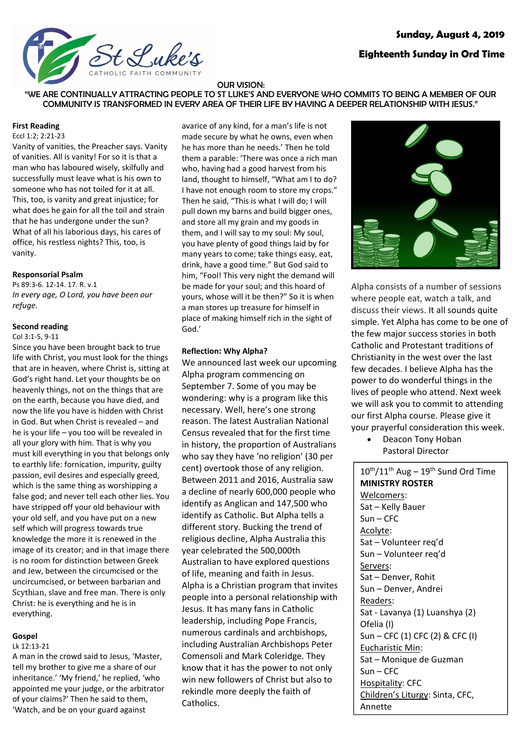# **Sunday, August 4, 2019**



# **Eighteenth Sunday in Ord Time**

#### OUR VISION:

"WE ARE CONTINUALLY ATTRACTING PEOPLE TO ST LUKE'S AND EVERYONE WHO COMMITS TO BEING A MEMBER OF OUR COMMUNITY IS TRANSFORMED IN EVERY AREA OF THEIR LIFE BY HAVING A DEEPER RELATIONSHIP WITH JESUS."

#### **First Reading**

Eccl 1:2; 2:21-23

Vanity of vanities, the Preacher says. Vanity of vanities. All is vanity! For so it is that a man who has laboured wisely, skilfully and successfully must leave what is his own to someone who has not toiled for it at all. This, too, is vanity and great injustice; for what does he gain for all the toil and strain that he has undergone under the sun? What of all his laborious days, his cares of office, his restless nights? This, too, is vanity.

#### **Responsorial Psalm**

Ps 89:3-6. 12-14. 17. R. v.1 *In every age, O Lord, you have been our refuge.*

#### **Second reading**

Col 3:1-5, 9-11

Since you have been brought back to true life with Christ, you must look for the things that are in heaven, where Christ is, sitting at God's right hand. Let your thoughts be on heavenly things, not on the things that are on the earth, because you have died, and now the life you have is hidden with Christ in God. But when Christ is revealed – and he is your life – you too will be revealed in all your glory with him. That is why you must kill everything in you that belongs only to earthly life: fornication, impurity, guilty passion, evil desires and especially greed, which is the same thing as worshipping a false god; and never tell each other lies. You have stripped off your old behaviour with your old self, and you have put on a new self which will progress towards true knowledge the more it is renewed in the image of its creator; and in that image there is no room for distinction between Greek and Jew, between the circumcised or the uncircumcised, or between barbarian and Scythian, slave and free man. There is only Christ: he is everything and he is in everything.

### **Gospel**

Lk 12:13-21

A man in the crowd said to Jesus, 'Master, tell my brother to give me a share of our inheritance.' 'My friend,' he replied, 'who appointed me your judge, or the arbitrator of your claims?' Then he said to them, 'Watch, and be on your guard against

avarice of any kind, for a man's life is not made secure by what he owns, even when he has more than he needs.' Then he told them a parable: 'There was once a rich man who, having had a good harvest from his land, thought to himself, "What am I to do? I have not enough room to store my crops." Then he said, "This is what I will do; I will pull down my barns and build bigger ones, and store all my grain and my goods in them, and I will say to my soul: My soul, you have plenty of good things laid by for many years to come; take things easy, eat, drink, have a good time." But God said to him, "Fool! This very night the demand will be made for your soul; and this hoard of yours, whose will it be then?" So it is when a man stores up treasure for himself in place of making himself rich in the sight of God.'

## **Reflection: Why Alpha?**

We announced last week our upcoming Alpha program commencing on September 7. Some of you may be wondering: why is a program like this necessary. Well, here's one strong reason. The latest Australian National Census revealed that for the first time in history, the proportion of Australians who say they have 'no religion' (30 per cent) overtook those of any religion. Between 2011 and 2016, Australia saw a decline of nearly 600,000 people who identify as Anglican and 147,500 who identify as Catholic. But Alpha tells a different story. Bucking the trend of religious decline, Alpha Australia this year celebrated the 500,000th Australian to have explored questions of life, meaning and faith in Jesus. Alpha is a Christian program that invites people into a personal relationship with Jesus. It has many fans in Catholic leadership, including Pope Francis, numerous cardinals and archbishops, including Australian Archbishops Peter Comensoli and Mark Coleridge. They know that it has the power to not only win new followers of Christ but also to rekindle more deeply the faith of Catholics.



Alpha consists of a number of sessions where people eat, watch a talk, and discuss their views. It all sounds quite simple. Yet Alpha has come to be one of the few major success stories in both Catholic and Protestant traditions of Christianity in the west over the last few decades. I believe Alpha has the power to do wonderful things in the lives of people who attend. Next week we will ask you to commit to attending our first Alpha course. Please give it your prayerful consideration this week.

• Deacon Tony Hoban Pastoral Director

 $10^{\text{th}}/11^{\text{th}}$  Aug –  $19^{\text{th}}$  Sund Ord Time **MINISTRY ROSTER** Welcomers: Sat – Kelly Bauer Sun – CFC Acolyte: Sat – Volunteer req'd Sun – Volunteer req'd Servers: Sat – Denver, Rohit Sun – Denver, Andrei Readers: Sat - Lavanya (1) Luanshya (2) Ofelia (I) Sun – CFC (1) CFC (2) & CFC (I) Eucharistic Min: Sat – Monique de Guzman Sun – CFC Hospitality: CFC Children's Liturgy: Sinta, CFC, Annette